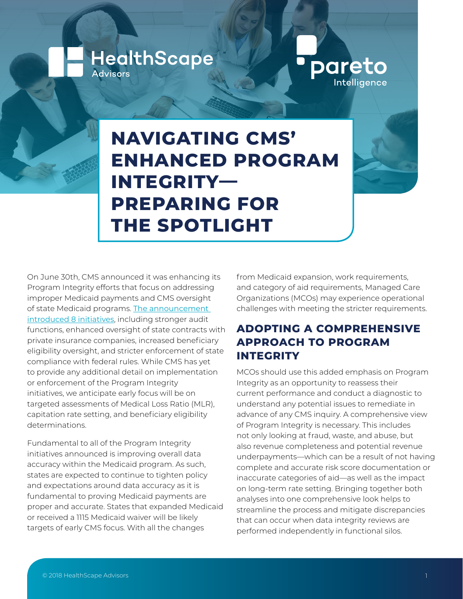**NAVIGATING CMS' ENHANCED PROGRAM INTEGRITY— PREPARING FOR THE SPOTLIGHT**

On June 30th, CMS announced it was enhancing its Program Integrity efforts that focus on addressing improper Medicaid payments and CMS oversight of state Medicaid programs. [The announcement](https://www.cms.gov/newsroom/press-releases/cms-announces-initiatives-strengthen-medicaid-program-integrity)  [introduced 8 initiatives](https://www.cms.gov/newsroom/press-releases/cms-announces-initiatives-strengthen-medicaid-program-integrity), including stronger audit functions, enhanced oversight of state contracts with private insurance companies, increased beneficiary eligibility oversight, and stricter enforcement of state compliance with federal rules. While CMS has yet to provide any additional detail on implementation or enforcement of the Program Integrity initiatives, we anticipate early focus will be on targeted assessments of Medical Loss Ratio (MLR), capitation rate setting, and beneficiary eligibility determinations.

**HealthScape** 

Advisors

Fundamental to all of the Program Integrity initiatives announced is improving overall data accuracy within the Medicaid program. As such, states are expected to continue to tighten policy and expectations around data accuracy as it is fundamental to proving Medicaid payments are proper and accurate. States that expanded Medicaid or received a 1115 Medicaid waiver will be likely targets of early CMS focus. With all the changes

from Medicaid expansion, work requirements, and category of aid requirements, Managed Care Organizations (MCOs) may experience operational challenges with meeting the stricter requirements.

pareto

Intelligence

## **ADOPTING A COMPREHENSIVE APPROACH TO PROGRAM INTEGRITY**

MCOs should use this added emphasis on Program Integrity as an opportunity to reassess their current performance and conduct a diagnostic to understand any potential issues to remediate in advance of any CMS inquiry. A comprehensive view of Program Integrity is necessary. This includes not only looking at fraud, waste, and abuse, but also revenue completeness and potential revenue underpayments—which can be a result of not having complete and accurate risk score documentation or inaccurate categories of aid—as well as the impact on long-term rate setting. Bringing together both analyses into one comprehensive look helps to streamline the process and mitigate discrepancies that can occur when data integrity reviews are performed independently in functional silos.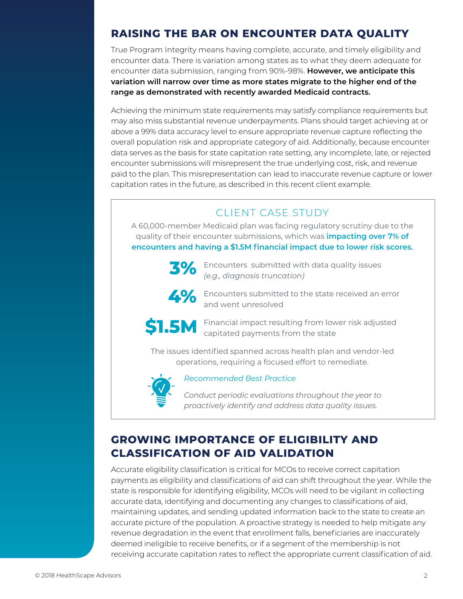# **RAISING THE BAR ON ENCOUNTER DATA QUALITY**

True Program Integrity means having complete, accurate, and timely eligibility and encounter data. There is variation among states as to what they deem adequate for encounter data submission, ranging from 90%-98%. **However, we anticipate this variation will narrow over time as more states migrate to the higher end of the range as demonstrated with recently awarded Medicaid contracts.** 

Achieving the minimum state requirements may satisfy compliance requirements but may also miss substantial revenue underpayments. Plans should target achieving at or above a 99% data accuracy level to ensure appropriate revenue capture reflecting the overall population risk and appropriate category of aid. Additionally, because encounter data serves as the basis for state capitation rate setting, any incomplete, late, or rejected encounter submissions will misrepresent the true underlying cost, risk, and revenue paid to the plan. This misrepresentation can lead to inaccurate revenue capture or lower capitation rates in the future, as described in this recent client example.

### CLIENT CASE STUDY

A 60,000-member Medicaid plan was facing regulatory scrutiny due to the quality of their encounter submissions, which was **impacting over 7% of encounters and having a \$1.5M financial impact due to lower risk scores.**



 $\frac{1}{3}\%$  Encounters submitted with data quality issues *(e.g., diagnosis truncation)*



Encounters submitted to the state received an error and went unresolved



Financial impact resulting from lower risk adjusted capitated payments from the state

The issues identified spanned across health plan and vendor-led operations, requiring a focused effort to remediate.



#### *Recommended Best Practice*

*Conduct periodic evaluations throughout the year to proactively identify and address data quality issues.* 

## **GROWING IMPORTANCE OF ELIGIBILITY AND CLASSIFICATION OF AID VALIDATION**

Accurate eligibility classification is critical for MCOs to receive correct capitation payments as eligibility and classifications of aid can shift throughout the year. While the state is responsible for identifying eligibility, MCOs will need to be vigilant in collecting accurate data, identifying and documenting any changes to classifications of aid, maintaining updates, and sending updated information back to the state to create an accurate picture of the population. A proactive strategy is needed to help mitigate any revenue degradation in the event that enrollment falls, beneficiaries are inaccurately deemed ineligible to receive benefits, or if a segment of the membership is not receiving accurate capitation rates to reflect the appropriate current classification of aid.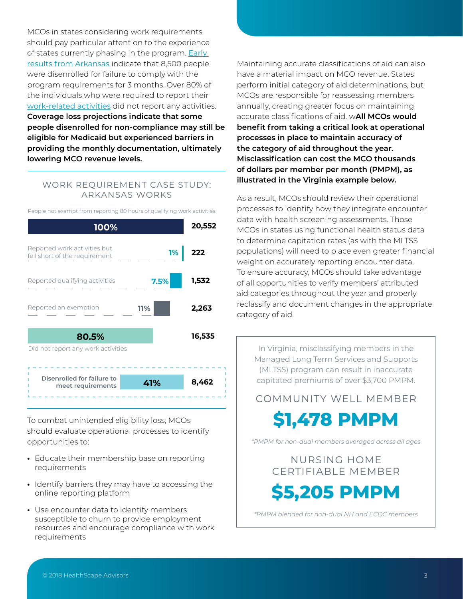MCOs in states considering work requirements should pay particular attention to the experience of states currently phasing in the program. **Early** [results from Arkansas](http://d31hzlhk6di2h5.cloudfront.net/20181015/d9/50/39/04/d3b5bd23a6cef7ccec3e4716/101518_AWreport.pdf) indicate that 8,500 people were disenrolled for failure to comply with the program requirements for 3 months. Over 80% of the individuals who were required to report their [work-related activities](https://www.kff.org/report-section/an-early-look-at-implementation-of-medicaid-work-requirements-in-arkansas-key-findings-9243/) did not report any activities. **Coverage loss projections indicate that some people disenrolled for non-compliance may still be eligible for Medicaid but experienced barriers in providing the monthly documentation, ultimately lowering MCO revenue levels.** 

#### WORK REQUIREMENT CASE STUDY: ARKANSAS WORKS



People not exempt from reporting 80 hours of qualifying work activities

To combat unintended eligibility loss, MCOs should evaluate operational processes to identify opportunities to:

- **•** Educate their membership base on reporting requirements
- **•** Identify barriers they may have to accessing the online reporting platform
- **•** Use encounter data to identify members susceptible to churn to provide employment resources and encourage compliance with work requirements

Maintaining accurate classifications of aid can also have a material impact on MCO revenue. States perform initial category of aid determinations, but MCOs are responsible for reassessing members annually, creating greater focus on maintaining accurate classifications of aid. w**All MCOs would benefit from taking a critical look at operational processes in place to maintain accuracy of the category of aid throughout the year. Misclassification can cost the MCO thousands of dollars per member per month (PMPM), as illustrated in the Virginia example below.**

As a result, MCOs should review their operational processes to identify how they integrate encounter data with health screening assessments. Those MCOs in states using functional health status data to determine capitation rates (as with the MLTSS populations) will need to place even greater financial weight on accurately reporting encounter data. To ensure accuracy, MCOs should take advantage of all opportunities to verify members' attributed aid categories throughout the year and properly reclassify and document changes in the appropriate category of aid.

In Virginia, misclassifying members in the Managed Long Term Services and Supports (MLTSS) program can result in inaccurate capitated premiums of over \$3,700 PMPM.

COMMUNITY WELL MEMBER

**\$1,478 PMPM**

*\*PMPM for non-dual members averaged across all ages*

# NURSING HOME CERTIFIABLE MEMBER

**\$5,205 PMPM**

*\*PMPM blended for non-dual NH and ECDC members*